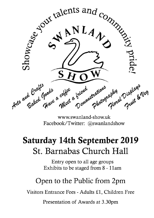

www.swanland-show.uk Facebook/Twitter: @swanlandshow

# **Saturday 14th September 2019** St. Barnabas Church Hall

Entry open to all age groups Exhibits to be staged from 8 - 11am

# Open to the Public from 2pm

Visitors Entrance Fees - Adults £1, Children Free

Presentation of Awards at 3.30pm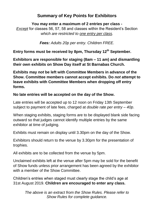## **Summary of Key Points for Exhibitors**

## **You may enter a maximum of 2 entries per class -** *Except* for classes 56, 57, 58 and classes within the Resident's Section *which are restricted to one entry per class.*

*Fees: Adults 20p per entry. Children FREE.*

**Entry forms must be received by 8pm, Thursday 12th September.**

**Exhibitors are responsible for staging (8am – 11 am) and dismantling their own exhibits on Show Day itself at St Barnabas Church.**

**Exhibits may** *not* **be left with Committee Members in advance of the Show. Committee members cannot accept exhibits. Do** *not* **attempt to leave exhibits with Committee Members when dropping off entry forms.**

## **No late entries will be accepted on the day of the Show.**

Late entries will be accepted up to 12 noon on Friday 13th September subject to payment of late fees, charged at *double rate per entry – 40p*.

When staging exhibits, staging forms are to be displayed blank side facing outward so that judges cannot identify multiple entries by the same exhibitor at time of judging.

Exhibits must remain on display until 3.30pm on the day of the Show.

Exhibitors should return to the venue by 3.30pm for the presentation of trophies.

All exhibits are to be collected from the venue by 5pm.

Unclaimed exhibits left at the venue after 5pm may be sold for the benefit of Show funds unless prior arrangement has been agreed by the exhibitor with a member of the Show Committee.

Children's entries when staged must clearly stage the child's age at 31st August 2019. **Children are encouraged to enter any class.**

> *The above is an extract from the Show Rules. Please refer to Show Rules for complete guidance.*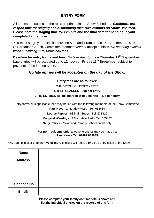## **ENTRY FORM**

All entries are subject to the rules as printed in the Show Schedule. *Exhibitors are responsible for staging and dismantling their own exhibits on Show Day itself.* **Please note the staging time for exhibits and the final date for handing in your completed entry form.**

You must stage your exhibits between 8am and 11am on the 14th September 2019 at St Barnabas Church. Committee members *cannot* accept exhibits. *Do not bring exhibits when submitting entry forms and fees.*

**Deadline for entry forms and fees:** N*o later than* **8pm** on **Thursday 12th September**. Late entries will be accepted up to **12 noon** on **Friday 13th September** subject to payment of the late entry fee.

#### *No late entries will be accepted on the day of the Show.*

## **Entry fees are as follows: CHILDREN'S CLASSES - FREE OTHER CLASSES - 20p per entry LATE ENTRIES will be charged at double rate – 40p per entry**

Entry forms plus applicable fees may be left with the following members of the Show Committee:

**Paul Neve** - 2 Meadow Walk - Tel: 633639 **Louise Pepper** - 93 Main Street - Tel: 631319 **Margaret Waudby** - 42 Northdale Park - Tel: 633867 **Sally Patrick** - Swanland Primary School pupils only

#### **For non-residents only**, telephone entries may be made via **Paul Neve - Tel: 01482 633639**

Any adult exhibitor entering **five or more** exhibits will receive **one** free entry ticket to the Show

| <b>Name</b>    |  |
|----------------|--|
| <b>Address</b> |  |
|                |  |
|                |  |
|                |  |
| Telephone No.  |  |
| Email:         |  |

**Please complete your family contact details above and list the individual entries on the reverse of this form**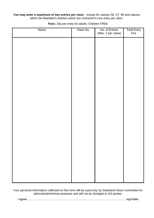#### You may enter a maximum of two entries per class - except for classes 56, 57, 58 and classes within the Resident's Section *which are restricted to one entry per class*.

| Name | Class No. | No. of Entries<br>(Max. 2 per class) | Total Entry<br>Fee |
|------|-----------|--------------------------------------|--------------------|
|      |           |                                      |                    |
|      |           |                                      |                    |
|      |           |                                      |                    |
|      |           |                                      |                    |
|      |           |                                      |                    |
|      |           |                                      |                    |
|      |           |                                      |                    |
|      |           |                                      |                    |
|      |           |                                      |                    |
|      |           |                                      |                    |
|      |           |                                      |                    |
|      |           |                                      |                    |
|      |           |                                      |                    |
|      |           |                                      |                    |
|      |           |                                      |                    |
|      |           |                                      |                    |

**Fees:** 20p per entry for adults. Children FREE

Your personal information collected on this form will be used only by Swanland Show Committee for administration/show purposes and will not be divulged to 3rd parties.

|--|--|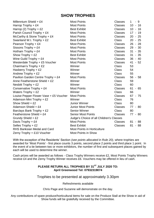## **SHOW TROPHIES**

| Millennium Shield + $£4$               | <b>Most Points</b>                       | <b>Classes</b> | -9<br>$1 \quad$ |  |
|----------------------------------------|------------------------------------------|----------------|-----------------|--|
| Harrop Trophy + £4                     | <b>Most Points</b>                       | Classes        | $10 - 16$       |  |
| Harrop (2) Trophy + £2                 | <b>Best Exhibit</b>                      | Classes        | $10 - 16$       |  |
| Parish Council Trophy + £4             | <b>Most Points</b>                       | Classes        | $17 - 19$       |  |
| McCarthy & Stone Trophy + $£4$         | <b>Most Points</b>                       | Classes        | $20 - 25$       |  |
| Swanland W.I. Trophy + $£2$            | <b>Best Exhibit</b>                      | Class          | $20 - 25$       |  |
| Pearson Trophy + £4                    | <b>Most Points</b>                       | Classes        | $26 - 28$       |  |
| Sissons Trophy + £4                    | <b>Most Points</b>                       | Classes        | $29 - 30$       |  |
| Hotham Trophy + $£4$                   | <b>Most Points</b>                       | Classes        | $31 - 35$       |  |
| Show Trophy $+E2$                      | <b>Best Exhibit</b>                      | Classes        | $31 - 35$       |  |
| Wine Guild Trophy + $£4$               | <b>Most Points</b>                       | Classes        | $36 - 40$       |  |
| Westerdale Trophy + £5 Voucher         | <b>Most Points</b>                       | Classes        | $41 - 52$       |  |
| Chairman's Trophy + £2                 | Winner                                   | Class          | 53              |  |
| Hasberry Trophy + £2                   | Winner                                   | Class          | 54              |  |
| Andrew Trophy + £2                     | Winner                                   | Class          | 55              |  |
| Pavilion Garden Centre Trophy + £4     | <b>Most Points</b>                       | Classes        | $56 - 58$       |  |
| Anne Featherstone Shield + £2          | Winner                                   | Class          | 59              |  |
| Nesbitt Trophy + $£2$                  | Winner                                   | Class          | 60              |  |
| Conservative Trophy + £4               | <b>Most Points</b>                       | <b>Classes</b> | $61 - 65$       |  |
| Waters $Trophy + E2$                   | Winner                                   | Class          | 66              |  |
| Louise Pepper Flower Vase + £5 Voucher | <b>Most Points</b>                       | <b>Classes</b> | $67 - 75$       |  |
| Adamson Mini Trophy + £2               | Winner                                   | Class          | 76              |  |
| Show Shield $+ f2$                     | Junior Winner                            | Class          | 80              |  |
| Adamson Shield + $£4$                  | <b>Junior Most Points</b>                | Classes        | 77 - 80         |  |
| Barclays Bank Trophy + £2              | Senior Winner                            | Class          | 80              |  |
| Featherstone Shield + £4               | <b>Senior Most Points</b>                | <b>Classes</b> | $77 - 80$       |  |
| Grundy Shield + £2                     | Judge's Choice of all Children's Classes |                |                 |  |
| Davis Trophy + £4                      | <b>Most Points</b>                       | <b>Classes</b> | $81 - 88$       |  |
| Selles Trophy + £2                     | <b>Best Exhibit</b>                      | Classes        | $81 - 88$       |  |
| RHS Banksian Medal and Card            | <b>Most Points in Horticulture</b>       |                |                 |  |
| Zerny Trophy + £10 Voucher             | <b>Most Points in Show</b>               |                |                 |  |

With the exception of the Residents' Section *(see points allocated in Rule 20)*, where trophies are awarded for 'Most Points' - first place counts 3 points, second place 2 points and third place 1 point. In the event of a tie between two or more exhibitors, the number of first and subsequent places gained by each will be used to determine the winner.

Cash prizes will be awarded as follows - Class Trophy Winners receive £2, Most Points Trophy Winners receive £4 and the Zerny Trophy Winner receives £6. Vouchers may be offered in lieu of cash.

#### **PLEASE RETURN ALL TROPHIES BY 31ST JULY 2020 TO: April Greenwood Tel: 07932319074**

Trophies to be presented at approximately 3.30pm

Refreshments available

Chris Page and Suzanne will demonstrate on the day.

Any contributions of spare produce/horticultural items for sale on the Produce Stall at the Show in aid of Show funds will be gratefully received by the Committee.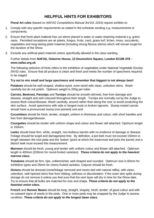## **HELPFUL HINTS FOR EXHIBITORS**

**Floral Art rules** (based on *NAFAS Competitions Manual 3rd Ed, 2015*) require exhibits to:

- 1. Comply with any specific requirements as stated in the schedule wording e.g. measurements or components.
- 2. Ensure that fresh plant material has cut stems placed in water or water-retaining material e.g. green oasis. Permitted exceptions are air plants, fungus, fruits, cacti, grass turf, lichen, moss, succulents, vegetables and long-lasting plant material (including strong fibrous stems) which will remain turgid for the duration of the Show.
- 3. Exclude any artificial plant material unless specifically allowed in the class wording.

#### Further details from **NAFAS, Osborne House, 12 Devonshire Square, London EC2M 4TE www.nafas.org.uk**

The following selection of hints refers to the exhibition of vegetables under National Vegetable Society (NVS) rules. Ensure that all produce is clean and fresh and meets the number of specimens required to be staged.

#### **Try not to mix small and large specimens and remember that biggest is not always best!**

**Potatoes** should be well-shaped, shallow-eyed, even-sized with clean, unbroken skins. Wash carefully but do not polish. Optimum weight is 200g per tuber.

**Carrots, Beetroot, Parsnips** and **Turnips** should be smooth-skinned, free from damage and disease, straight and well coloured throughout their length. Turnips are normally cut by the Judge to assess flesh colour/disease. Wash carefully, around rather than along the root, to avoid scratching the skin surface. Avoid specimens with side or fanged roots or broken taproots. Stump-rooted carrots should have a pronounced stump (not pointed) root end.

**Cucumbers** should be fresh, tender, straight, uniform in thickness and colour, with short handles and free from damage/disease.

**Courgettes** should be tender with uniform shape and colour and flower still attached. Optimum length is 150mm.

**Leeks** should have firm, white, straight, non-bulbous barrels with no evidence of damage or disease. Foliage should be turgid and damage/pest-free. By definition, a pot leek must not exceed 150mm in length between the root plate and the 'button' (point at which the lowermost leaf joins the barrel) and a blanch leek must exceed this measurement.

**Marrows** should be fresh, young and tender with uniform colour and flower still attached. Optimum length is 400mm (200mm for round-fruited varieties). *These criteria do not apply to the heaviest marrow class.*

**Tomatoes** should be firm, ripe, unblemished, well-shaped and rounded. Optimum size is 60mm for exhibition types and 25mm for cherry-fruited varieties. Calyces should be fresh.

**Onions** should be dressed (roots/foliage removed and necks tied with natural raffia), with clean, unbroken, well-ripened skins free from ribbing, softness or discoloration. If the outer skin splits during storage do not remove it unless you feel sure that the next layer will dry in time for the Show date. Try to ensure that all bulbs are matched for size and shape. *These criteria do not apply to the heaviest onion class.*

**French** and **Runner Beans** should be long, straight, shapely, fresh, tender, of good colour and with no outward signs of seeds in the pods. One or more pods may be snapped by the Judge to assess condition. *These criteria do not apply to the longest bean class.*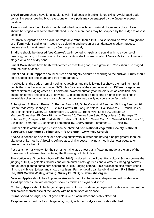**Broad Beans** should have long, straight, well-filled pods with unblemished skins. Avoid aged pods containing seeds bearing black eyes; one or more pods may be snapped by the Judge to assess condition.

**Peas** should have long, fresh, smooth, well-filled pods with good natural bloom and colour. Peas should be staged with some stalk attached. One or more pods may be snapped by the Judge to assess condition.

**Rhubarb** is regarded as an exhibition vegetable rather than a fruit. Stalks should be fresh, straight and of uniform weight and length. Good red colouring and no sign of pest damage is advantageous. Leaves should be trimmed back to 40mm approximately.

**Shallots** should be dressed (*see Onions*), well-ripened, shapely and sound with no evidence of greening, purpling or broken skins. Large exhibition shallots are usually of *Hative de Niort* cultivar and staged on a dish of dry sand.

**Sweet Corn** should have fresh, well-formed cobs with a good, even grain set. Cobs should be staged with the silks attached.

**Sweet** and **Chilli Peppers** should be fresh and brightly coloured according to the cultivar. Fruits should be of a good size and shape and free from damage.

In collections, the Judge normally points vegetables and the following list shows the maximum total points that may be awarded under NVS rules for some of the commoner kinds. Different vegetables attract different judging criteria but points are awarded primarily for factors such as condition, size, shape, uniformity and difficulty of growing. Exhibitors should aim to stage higher-pointed kinds in vegetable collections as far as possible. A poor potato may easily outscore a perfect radish!

Aubergines 18, French Beans 15, Runner Beans 18, Globe/Cylindrical Beetroot 15, Long Beetroot 20, Green/Red/Savoy Cabbages 15, Stump Carrots 18, Long Carrots 20, Cauliflowers 20, Trench Celery 20, Self-blanching Celery 18, Cucumbers 18, Garlic 12, Blanch/Pot Leeks 20, Lettuce 15, Marrows/Squashes 15, Okra 18, Large Onions 20, Onions from Sets/250g or less 15, Parsnips 20, Potatoes 20, Pumpkins 10, Radish 10, Exhibition Shallots 18, Sweet Corn 15, Sweet/Chilli Peppers 15, Exhibition Tomatoes 18, Beefsteak Tomatoes 15, Cherry-fruited Tomatoes 12, Turnips 15.

Further details of the *Judge's Guide* can be obtained from **National Vegetable Society, National Secretary, 4 Canmore St, Kinghorn, Fife KY3 9RH - www.nvsuk.org.uk**

A **vase** is defined as a vessel for displaying cut flowers in water and having a height greater than the diameter of its mouth. A **bowl** is defined as a similar vessel having a mouth diameter equal to or greater than its height.

Pot plants normally grown for their ornamental foliage effect but in flowering mode at the time of the Show are not debarred from entering the flowering pot plant class.

The Horticultural Show Handbook (*8 th Ed, 2016*) produced by the Royal Horticultural Society covers the judging of fruit, vegetables, flowers and ornamental plants, gardens and allotments, hanging baskets and outdoor-planted containers according to RHS judging criteria. This publication also offers useful hints to exhibitors, judges and show organisers. Further details can be obtained from **RHS Enterprises Ltd, RHS Garden Wisley, Woking, Surrey GU23 6QB - www.rhs.org.uk**

**Dessert Apples** should be of optimum size and colour for the variety, shapely and with stalks intact. Avoid specimens that are damaged, show blemishes or signs of disease.

**Cooking Apples** should be large, shapely and solid with undamaged eyes with stalks intact and with a skin colour characteristic of the variety with no blemishes or disease.

**Plums** should be large, ripe, of good colour with bloom intact and stalks attached.

**Raspberries** should be fresh, large, ripe, bright, with fresh calyces and stalks attached.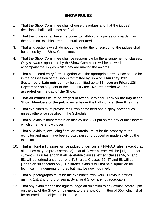## **SHOW RULES**

- 1. That the Show Committee shall choose the judges and that the judges' decisions shall in all cases be final.
- 2. That the judges shall have the power to withhold any prizes or awards if, in their opinion, exhibits are not of sufficient merit.
- 3. That all questions which do not come under the jurisdiction of the judges shall be settled by the Show Committee.
- 4. That the Show Committee shall be responsible for the arrangement of classes. Only stewards appointed by the Show Committee will be allowed to accompany the judges whilst they are making the awards.
- 5. That completed entry forms together with the appropriate remittance should be in the possession of the Show Committee by **8pm** on **Thursday 12th September**. **Late entries** may be submitted up to **12 noon** on **Friday 13th September** on payment of the late entry fee. **No late entries will be accepted on the day of the Show.**
- 6. **That all exhibits must be staged between 8am and 11am on the day of the Show. Members of the public must leave the hall no later than this time.**
- 7. That exhibitors must provide their own containers and display accessories unless otherwise specified in the Schedule.
- 8. That all exhibits must remain on display until 3.30pm on the day of the Show at which time the Show closes.
- 9. That all exhibits, excluding floral art material, must be the property of the exhibitor and must have been grown, raised, produced or made solely by the exhibitor.
- 10. That all floral art classes will be judged under current NAFAS rules (except that all entries may be pre-assembled), that all flower classes will be judged under current RHS rules and that all vegetable classes, except classes 56, 57 and 58, will be judged under current NVS rules. Classes 56, 57 and 58 will be judged on size factors only. Children's exhibits will not be disqualified for technical infringements of rules but may be down-pointed.
- 11. That all photographs must be the exhibitor's own work. Previous entries gaining 1st, 2nd or 3rd prizes at Swanland Show are not acceptable.
- 12. That any exhibitor has the right to lodge an objection to any exhibit before 3pm on the day of the Show on payment to the Show Committee of 50p, which shall be returned if the objection is upheld.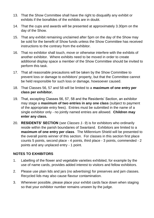- 13. That the Show Committee shall have the right to disqualify any exhibit or exhibits if the bonafides of the exhibits are in doubt.
- 14. That the cups and awards will be presented at approximately 3.30pm on the day of the Show.
- 15. That any exhibit remaining unclaimed after 5pm on the day of the Show may be sold for the benefit of Show funds unless the Show Committee has received instructions to the contrary from the exhibitor.
- 16. That no exhibitor shall touch, move or otherwise interfere with the exhibits of another exhibitor. Where exhibits need to be moved in order to create additional display space a member of the Show Committee should be invited to perform this task.
- 17. That all reasonable precautions will be taken by the Show Committee to prevent loss or damage to exhibitors' property, but that the Committee cannot be held responsible for such loss or damage, howsoever caused.
- 18. That Classes 56, 57 and 58 will be limited to a **maximum of one entry per class per exhibitor.**
- 19. That, excepting Classes 56, 57, 58 and the Residents' Section, an exhibitor may stage a **maximum of two entries in any one class** (subject to payment of the appropriate entry fees). Entries must be submitted in the name of a single exhibitor only - no jointly named entries are allowed. **Children may enter any class.**
- 20. **RESIDENTS' SECTION** (*see Classes 1- 9*) is for exhibitors who ordinarily reside within the parish boundaries of Swanland. Exhibitors are limited to a **maximum of one entry per class**. The Millennium Shield will be presented to the overall points winner of this section. For classes in this section first place counts 5 points, second place - 4 points, third place - 3 points, commended - 2 points and any unplaced entry - 1 point.

## **NOTES TO EXHIBITORS**

- 1. Labelling of the flower and vegetable varieties exhibited, for example by the use of name cards, provides added interest to visitors and fellow exhibitors.
- 2. Please use plain lids and jars (no advertising) for preserves and jam classes. Recycled lids may also cause flavour contamination.
- 3. Whenever possible, please place your exhibit cards face down when staging so that your exhibitor number remains unseen by the judge.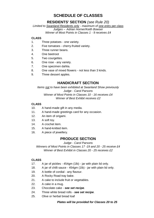## **SCHEDULE OF CLASSES**

## **RESIDENTS' SECTION** *(see Rule 20)*

*Limited to Swanland Residents only - maximum of one entry per class Judges – Adrian Horner/Keith Bowser Winner of Most Points in Classes 1 - 9 receives £4*

#### **CLASS**

- 1. Three potatoes one variety.
- 2. Five tomatoes cherry-fruited variety.
- 3. Three runner beans.
- 4. One beetroot
- 5. Two courgettes.
- 6. One rose any variety.
- 7. One specimen dahlia.
- 8. One vase of mixed flowers not less than 3 kinds.
- 9. Three dessert apples.

## **HANDICRAFT SECTION**

*Items not to have been exhibited at Swanland Show previously Judge - Carol Parsons Winner of Most Points in Classes 10 - 16 receives £4 Winner of Best Exhibit receives £2*

#### **CLASS**

- 10. A hand-made gift in any media.
- 11. A hand-made greetings card for any occasion.
- 12. An item of origami.
- 13. A soft toy.
- 14. A crochet item.
- 15. A hand-knitted item.
- 16. A piece of jewellery.

## **PRODUCE SECTION**

*Judge - Carol Parsons*

*Winners of Most Points in Classes 17 -19 and 20 - 25 receive £4 Winner of Best Exhibit in Classes 20 - 25 receives £2*

#### **CLASS**

- 17. A jar of pickles 454gm (1lb) jar with plain lid only.
- 18. A jar of chilli sauce 454gm (1lb) jar with plain lid only.
- 19. A bottle of cordial any flavour.
- 20. A Rocky Road tray bake.
- 21. A cake to include fruit or vegetables.
- 22. A cake in a mug.
- 23. Chocolate cake *see set recipe*.
- 24. Three white bread rolls *see set recipe*.
- 25. Olive or herbal bread loaf

#### *Plates will be provided for Classes 20 to 25*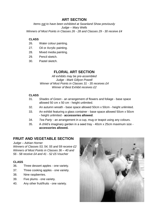## **ART SECTION**

*Items not to have been exhibited at Swanland Show previously Judge – Mary Wells Winners of Most Points in Classes 26 - 28 and Classes 29 - 30 receive £4*

#### **CLASS**

- 26. Water colour painting.
- 27. Oil or Acrylic painting.
- 28. Mixed media painting.
- 29. Pencil sketch.
- 30. Pastel sketch.

## **FLORAL ART SECTION**

*All exhibits may be pre-assembled Judge - Mark Gillyon Powell Winner of Most Points in Classes 31 - 35 receives £4 Winner of Best Exhibit receives £2*

#### **CLASS**

- 31. *Shades of Green* an arrangement of flowers and foliage base space allowed 50 cm x 50 cm - height unlimited.
- 32. An autumn wreath base space allowed 50cm x 50cm height unlimited.
- 33. An exhibit featuring a glass container base space allowed 50cm x 50cm - height unlimited - **accessories allowed**.
- 34. *Tea Party* an arrangement in a cup, mug or teapot using any colours.
- 35. A child's imaginary garden in a seed tray 40cm x 25cm maximum size **accessories allowed.**

## **FRUIT AND VEGETABLE SECTION**

#### *Judge – Adrian Horner*

*Winners of Classes 53, 54, 55 and 59 receive £2 Winners of Most Points in Classes 36 – 40 and 56 - 58 receive £4 and 41 - 52 £5 Voucher*

#### **CLASS**

- 36. Three dessert apples one variety.
- 37. Three cooking apples one variety.
- 38. Nine raspberries.
- 39. Five plums one variety.
- 40. Any other fruit/fruits one variety.

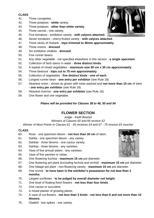#### **CLASS**

- 41. Three courgettes.
- 42. Three potatoes **white** variety.
- 43. Three potatoes **other than white variety**.
- 44. Three carrots one variety.
- 45. Five tomatoes exhibition variety **with calyces attached**.
- 46. Seven tomatoes cherry-fruited variety **with calyces attached**.
- 47. Three sticks of rhubarb **tops trimmed to 40mm approximately**.
- 48. Three onions **dressed**.
- 49. Six exhibition shallots **dressed**.
- 50. Five runner beans.
- 51. Any other vegetable not specified elsewhere in this section **a single specimen**.
- 52. Collection of herb stems in water **three distinct kinds**.
- 53. A basket of mixed vegetables **maximum size 50 cm x 30 cm approximately**.
- 54. Three beetroot **tops cut to 75 mm approximately**.
- 55. Collection of vegetables **five distinct kinds - one of each**.
- 56. Longest runner bean **one entry per exhibitor** (see Rule 18)
- 57. Heaviest onion shown as grown with roots washed and **not more than 15 cm** of stem **- one entry per exhibitor** (see Rule 18)
- 58. Heaviest marrow **one entry per exhibitor** (see Rule 18)
- 59. One flower and one vegetable.

#### *Plates will be provided for Classes 38 to 46, 50 and 54*

## **FLOWER SECTION**

*Judge - Keith Bowser*

*Winners of Classes 60 and 66 receive £2* 

*Winner of Most Points in Classes 61 - 65 receives £4 and 67 - 75 receive £5 voucher*

#### **CLASS**

- 60. Rose one specimen bloom **not less than 20 cm** of stem**.**
- 61. Dahlia one specimen bloom any variety.
- 62. Dahlias three blooms one cactus variety.
- 63. Dahlias three blooms any varieties.
- 64. Vase of five annual asters any varieties.
- 65. Vase of five pansies or violas.
- 66. One flowering fuchsia **maximum 15 cm** pot diameter.
- 67. One flowering pot plant *(excluding fuchsia and orchid)*  **maximum 15 cm** pot diameter.
- 68. One foliage pot plant non-flowering variety **maximum 15 cm** pot diameter.
- 69. One orchid **to have been in the exhibitor's possession for not less than 3 months.**
- 70. Largest sunflower **to be judged by overall diameter not height.**
- 71. One bowl of floating fresh flowers **not less than four kinds**.
- 72. One cactus or succulent.
- 73. A mixed planter of growing plants.
- 74. A vase of cut flowers **not less than 3 kinds - not less than 6 and not more than 10 blooms.**
- 75. Gladioli two spikes one variety.



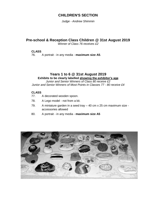#### **CHILDREN'S SECTION**

*Judge - Andrew Shimmin*

## **Pre-school & Reception Class Children @ 31st August 2019**

*Winner of Class 76 receives £2*

# **CLASS**

76. A portrait - in any media - **maximum size A5**.

#### **Years 1 to 6 @ 31st August 2019 Exhibits to be clearly labelled showing the exhibitor's age**

*Junior and Senior Winners of Class 80 receive £2 Junior and Senior Winners of Most Points in Classes 77 - 80 receive £4*

## **CLASS**

- A decorated wooden spoon.
- 78. A Lego model not from a kit.
- 79. A miniature garden in a seed tray 40 cm x 25 cm maximum size accessories allowed
- 80. A portrait in any media **maximum size A5**

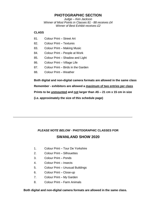### **PHOTOGRAPHIC SECTION**

*Judge – Ken Jackson Winner of Most Points in Classes 81 - 88 receives £4 Winner of Best Exhibit receives £2*

#### **CLASS**

- 81. Colour Print Street Art
- 82. Colour Print Textures
- 83. Colour Print Making Music
- 84. Colour Print People at Work
- 85. Colour Print Shadow and Light
- 86. Colour Print Village Life
- 87. Colour Print Birds in the Garden
- 88. Colour Print Weather

**Both digital and non-digital camera formats are allowed in the same class Remember - exhibitors are allowed a maximum of two entries per class Prints to be unmounted and not larger than A5 – 21 cm x 15 cm in size (i.e. approximately the size of this schedule page)**

## *PLEASE NOTE BELOW* - **PHOTOGRAPHIC CLASSES FOR SWANLAND SHOW 2020**

\_\_\_\_\_\_\_\_\_\_\_\_\_\_\_\_\_\_\_\_\_\_\_\_\_\_\_\_\_\_\_\_\_\_\_\_\_\_\_\_\_\_\_\_\_\_\_\_\_\_\_\_\_\_\_\_\_\_\_\_\_\_\_\_\_\_\_\_\_\_\_\_\_

- 1. Colour Print Tour De Yorkshire
- 2. Colour Print Silhouettes
- 3. Colour Print Ponds
- 4. Colour Print Insects
- 5. Colour Print Unusual Buildings
- 6. Colour Print Close-up
- 7. Colour Print My Garden
- 8. Colour Print Farm Animals

#### **Both digital and non-digital camera formats are allowed in the same class.**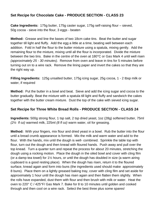## **Set Recipe for Chocolate Cake - PRODUCE SECTION - CLASS 23**

**Cake Ingredients:** 175g butter, 175g caster sugar, 175g self-raising flour – sieved, 50g cocoa - sieve into the flour, 3 eggs - beaten

**Method:** Grease and line the bases of two 18cm cake tins. Beat the butter and sugar together till light and fluffy. Add the egg a little at a time, beating well between each addition. Fold in half the flour to the butter mixture using a spatula, mixing gently. Add the remaining flour to the mixture, mixing until all the flour is incorporated. Divide the mixture between the two tins. Bake in the centre of the oven at 180°C or Gas Mark 4 until well risen *(approximately 25 - 30 minutes)*. Remove from oven and leave in tins for 5 minutes before turning out on to a wire rack. Remove the lining paper and invert the cakes so that they are the right way up.

**Filling Ingredients:** 125g unsalted butter, 175g icing sugar, 25g cocoa, 1 - 2 tbsp milk or water, if required

**Method:** Put the butter in a bowl and beat. Sieve and add the icing sugar and cocoa to the butter gradually. Beat the mixture with a spatula till light and fluffy and sandwich the cakes together with the butter cream mixture. Dust the top of the cake with sieved icing sugar.

## **Set Recipe for Three White Bread Rolls - PRODUCE SECTION - CLASS 24**

**Ingredients:** 500g strong flour, 1 tsp salt, 2 tsp dried yeast, 1oz (28g) softened butter, 75ml *(2½ fl oz)* warmed milk, 225ml *(8 fl oz)* warm water, oil for greasing.

**Method:** With your fingers, mix flour and dried yeast in a bowl. Rub the butter into the flour until a bread crumb appearance is formed. Mix the milk and warm water and add to the flour. With the hands, mix until the dough is well- combined. Sprinkle the table top with flour, turn out the dough and then knead with floured hands. Push away and pull over the top knead. Turn a quarter turn and repeat the process for about 20 minutes, stretching the dough using a rocking motion. Place the dough in the oiled bowl and cover with cling film (or a damp tea towel) for  $1\frac{1}{2}$  hours, or until the dough has doubled in size (a warm airing cupboard is a good resting place). When the dough has risen, return it to the floured surface, knead again and form into buns (the ingredients used should make approximately 8 buns). Place them on a lightly greased baking tray, cover with cling film and set aside for approximately 1 hour until the dough has risen again and then flatten them slightly. When the rolls have expanded, dust them with flour and then brush with milk or water. Heat the oven to 220° C / 425°F/ Gas Mark 7. Bake for 8 to 10 minutes until golden and cooked through and then cool on a wire rack. Select the best three plus some spares!